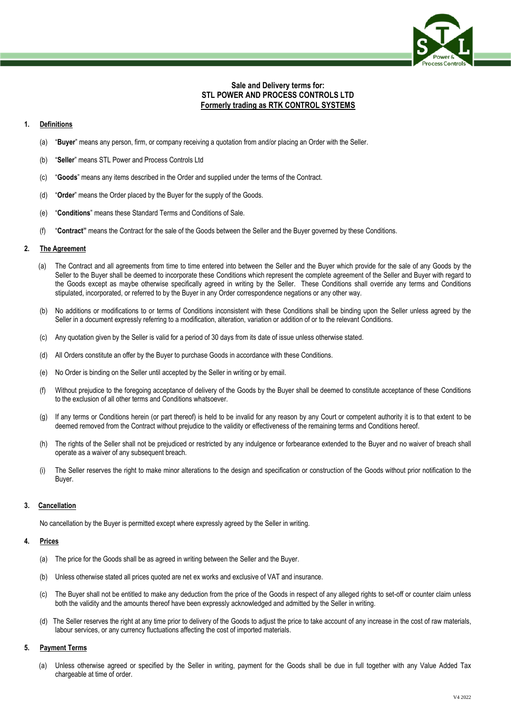

# **Sale and Delivery terms for: STL POWER AND PROCESS CONTROLS LTD Formerly trading as RTK CONTROL SYSTEMS**

## **1. Definitions**

- (a) "**Buyer**" means any person, firm, or company receiving a quotation from and/or placing an Order with the Seller.
- (b) "**Seller**" means STL Power and Process Controls Ltd
- (c) "**Goods**" means any items described in the Order and supplied under the terms of the Contract.
- (d) "**Order**" means the Order placed by the Buyer for the supply of the Goods.
- (e) "**Conditions**" means these Standard Terms and Conditions of Sale.
- (f) "**Contract"** means the Contract for the sale of the Goods between the Seller and the Buyer governed by these Conditions.

#### **2. The Agreement**

- (a) The Contract and all agreements from time to time entered into between the Seller and the Buyer which provide for the sale of any Goods by the Seller to the Buyer shall be deemed to incorporate these Conditions which represent the complete agreement of the Seller and Buyer with regard to the Goods except as maybe otherwise specifically agreed in writing by the Seller. These Conditions shall override any terms and Conditions stipulated, incorporated, or referred to by the Buyer in any Order correspondence negations or any other way.
- (b) No additions or modifications to or terms of Conditions inconsistent with these Conditions shall be binding upon the Seller unless agreed by the Seller in a document expressly referring to a modification, alteration, variation or addition of or to the relevant Conditions.
- (c) Any quotation given by the Seller is valid for a period of 30 days from its date of issue unless otherwise stated.
- (d) All Orders constitute an offer by the Buyer to purchase Goods in accordance with these Conditions.
- (e) No Order is binding on the Seller until accepted by the Seller in writing or by email.
- (f) Without prejudice to the foregoing acceptance of delivery of the Goods by the Buyer shall be deemed to constitute acceptance of these Conditions to the exclusion of all other terms and Conditions whatsoever.
- (g) If any terms or Conditions herein (or part thereof) is held to be invalid for any reason by any Court or competent authority it is to that extent to be deemed removed from the Contract without prejudice to the validity or effectiveness of the remaining terms and Conditions hereof.
- (h) The rights of the Seller shall not be prejudiced or restricted by any indulgence or forbearance extended to the Buyer and no waiver of breach shall operate as a waiver of any subsequent breach.
- (i) The Seller reserves the right to make minor alterations to the design and specification or construction of the Goods without prior notification to the Buyer.

#### **3. Cancellation**

No cancellation by the Buyer is permitted except where expressly agreed by the Seller in writing.

#### **4. Prices**

- (a) The price for the Goods shall be as agreed in writing between the Seller and the Buyer.
- (b) Unless otherwise stated all prices quoted are net ex works and exclusive of VAT and insurance.
- (c) The Buyer shall not be entitled to make any deduction from the price of the Goods in respect of any alleged rights to set-off or counter claim unless both the validity and the amounts thereof have been expressly acknowledged and admitted by the Seller in writing.
- (d) The Seller reserves the right at any time prior to delivery of the Goods to adjust the price to take account of any increase in the cost of raw materials, labour services, or any currency fluctuations affecting the cost of imported materials.

#### **5. Payment Terms**

(a) Unless otherwise agreed or specified by the Seller in writing, payment for the Goods shall be due in full together with any Value Added Tax chargeable at time of order.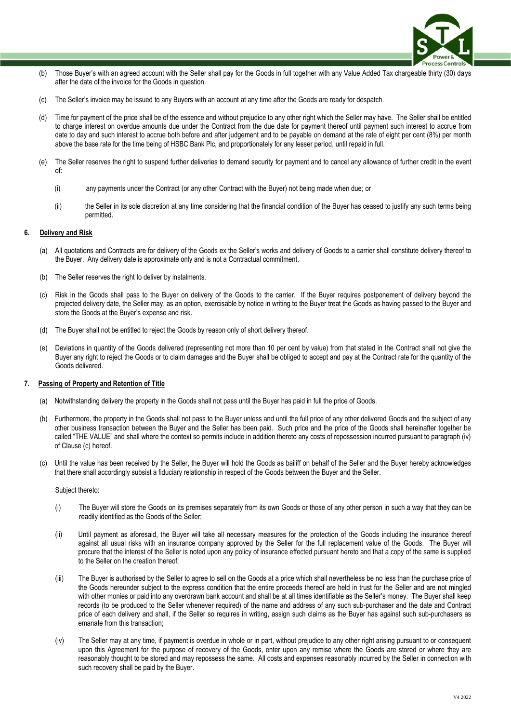

- (b) Those Buyer's with an agreed account with the Seller shall pay for the Goods in full together with any Value Added Tax chargeable thirty (30) days after the date of the invoice for the Goods in question.
- (c) The Seller's invoice may be issued to any Buyers with an account at any time after the Goods are ready for despatch.
- (d) Time for payment of the price shall be of the essence and without prejudice to any other right which the Seller may have. The Seller shall be entitled to charge interest on overdue amounts due under the Contract from the due date for payment thereof until payment such interest to accrue from date to day and such interest to accrue both before and after judgement and to be payable on demand at the rate of eight per cent (8%) per month above the base rate for the time being of HSBC Bank Plc, and proportionately for any lesser period, until repaid in full.
- (e) The Seller reserves the right to suspend further deliveries to demand security for payment and to cancel any allowance of further credit in the event of:
	- (i) any payments under the Contract (or any other Contract with the Buyer) not being made when due; or
	- (ii) the Seller in its sole discretion at any time considering that the financial condition of the Buyer has ceased to justify any such terms being permitted.

#### **6. Delivery and Risk**

- (a) All quotations and Contracts are for delivery of the Goods ex the Seller's works and delivery of Goods to a carrier shall constitute delivery thereof to the Buyer. Any delivery date is approximate only and is not a Contractual commitment.
- The Seller reserves the right to deliver by instalments.
- (c) Risk in the Goods shall pass to the Buyer on delivery of the Goods to the carrier. If the Buyer requires postponement of delivery beyond the projected delivery date, the Seller may, as an option, exercisable by notice in writing to the Buyer treat the Goods as having passed to the Buyer and store the Goods at the Buyer's expense and risk.
- (d) The Buyer shall not be entitled to reject the Goods by reason only of short delivery thereof.
- (e) Deviations in quantity of the Goods delivered (representing not more than 10 per cent by value) from that stated in the Contract shall not give the Buyer any right to reject the Goods or to claim damages and the Buyer shall be obliged to accept and pay at the Contract rate for the quantity of the Goods delivered.

#### **7. Passing of Property and Retention of Title**

- (a) Notwithstanding delivery the property in the Goods shall not pass until the Buyer has paid in full the price of Goods.
- (b) Furthermore, the property in the Goods shall not pass to the Buyer unless and until the full price of any other delivered Goods and the subject of any other business transaction between the Buyer and the Seller has been paid. Such price and the price of the Goods shall hereinafter together be called "THE VALUE" and shall where the context so permits include in addition thereto any costs of repossession incurred pursuant to paragraph (iv) of Clause (c) hereof.
- (c) Until the value has been received by the Seller, the Buyer will hold the Goods as bailiff on behalf of the Seller and the Buyer hereby acknowledges that there shall accordingly subsist a fiduciary relationship in respect of the Goods between the Buyer and the Seller.

#### Subject thereto:

- (i) The Buyer will store the Goods on its premises separately from its own Goods or those of any other person in such a way that they can be readily identified as the Goods of the Seller;
- (ii) Until payment as aforesaid, the Buyer will take all necessary measures for the protection of the Goods including the insurance thereof against all usual risks with an insurance company approved by the Seller for the full replacement value of the Goods. The Buyer will procure that the interest of the Seller is noted upon any policy of insurance effected pursuant hereto and that a copy of the same is supplied to the Seller on the creation thereof;
- (iii) The Buyer is authorised by the Seller to agree to sell on the Goods at a price which shall nevertheless be no less than the purchase price of the Goods hereunder subject to the express condition that the entire proceeds thereof are held in trust for the Seller and are not mingled with other monies or paid into any overdrawn bank account and shall be at all times identifiable as the Seller's money. The Buyer shall keep records (to be produced to the Seller whenever required) of the name and address of any such sub-purchaser and the date and Contract price of each delivery and shall, if the Seller so requires in writing, assign such claims as the Buyer has against such sub-purchasers as emanate from this transaction;
- (iv) The Seller may at any time, if payment is overdue in whole or in part, without prejudice to any other right arising pursuant to or consequent upon this Agreement for the purpose of recovery of the Goods, enter upon any remise where the Goods are stored or where they are reasonably thought to be stored and may repossess the same. All costs and expenses reasonably incurred by the Seller in connection with such recovery shall be paid by the Buyer.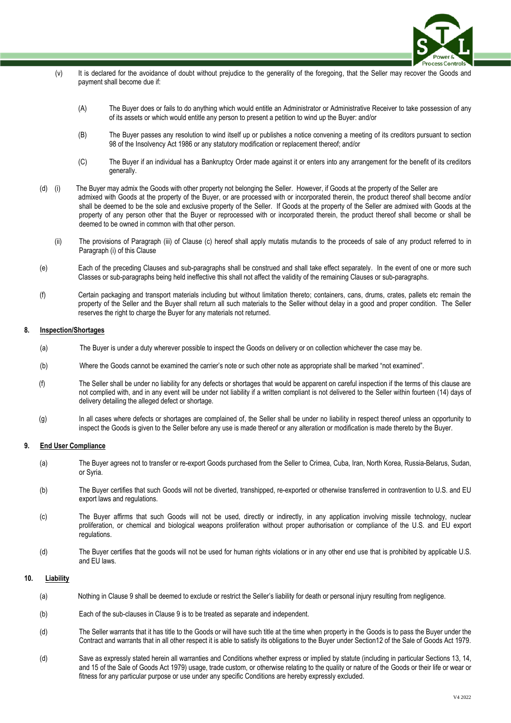

- (v) It is declared for the avoidance of doubt without prejudice to the generality of the foregoing, that the Seller may recover the Goods and payment shall become due if:
	- (A) The Buyer does or fails to do anything which would entitle an Administrator or Administrative Receiver to take possession of any of its assets or which would entitle any person to present a petition to wind up the Buyer: and/or
	- (B) The Buyer passes any resolution to wind itself up or publishes a notice convening a meeting of its creditors pursuant to section 98 of the Insolvency Act 1986 or any statutory modification or replacement thereof; and/or
	- (C) The Buyer if an individual has a Bankruptcy Order made against it or enters into any arrangement for the benefit of its creditors generally.
- (d) (i) The Buyer may admix the Goods with other property not belonging the Seller. However, if Goods at the property of the Seller are admixed with Goods at the property of the Buyer, or are processed with or incorporated therein, the product thereof shall become and/or shall be deemed to be the sole and exclusive property of the Seller. If Goods at the property of the Seller are admixed with Goods at the property of any person other that the Buyer or reprocessed with or incorporated therein, the product thereof shall become or shall be deemed to be owned in common with that other person.
	- (ii) The provisions of Paragraph (iii) of Clause (c) hereof shall apply mutatis mutandis to the proceeds of sale of any product referred to in Paragraph (i) of this Clause
- (e) Each of the preceding Clauses and sub-paragraphs shall be construed and shall take effect separately. In the event of one or more such Classes or sub-paragraphs being held ineffective this shall not affect the validity of the remaining Clauses or sub-paragraphs.
- (f) Certain packaging and transport materials including but without limitation thereto; containers, cans, drums, crates, pallets etc remain the property of the Seller and the Buyer shall return all such materials to the Seller without delay in a good and proper condition. The Seller reserves the right to charge the Buyer for any materials not returned.

#### **8. Inspection/Shortages**

- (a) The Buyer is under a duty wherever possible to inspect the Goods on delivery or on collection whichever the case may be.
- (b) Where the Goods cannot be examined the carrier's note or such other note as appropriate shall be marked "not examined".
- (f) The Seller shall be under no liability for any defects or shortages that would be apparent on careful inspection if the terms of this clause are not complied with, and in any event will be under not liability if a written compliant is not delivered to the Seller within fourteen (14) days of delivery detailing the alleged defect or shortage.
- (g) In all cases where defects or shortages are complained of, the Seller shall be under no liability in respect thereof unless an opportunity to inspect the Goods is given to the Seller before any use is made thereof or any alteration or modification is made thereto by the Buyer.

#### **9. End User Compliance**

- (a) The Buyer agrees not to transfer or re-export Goods purchased from the Seller to Crimea, Cuba, Iran, North Korea, Russia-Belarus, Sudan, or Syria.
- (b) The Buyer certifies that such Goods will not be diverted, transhipped, re-exported or otherwise transferred in contravention to U.S. and EU export laws and regulations.
- (c) The Buyer affirms that such Goods will not be used, directly or indirectly, in any application involving missile technology, nuclear proliferation, or chemical and biological weapons proliferation without proper authorisation or compliance of the U.S. and EU export regulations.
- (d) The Buyer certifies that the goods will not be used for human rights violations or in any other end use that is prohibited by applicable U.S. and EU laws.

#### **10. Liability**

- (a) Nothing in Clause 9 shall be deemed to exclude or restrict the Seller's liability for death or personal injury resulting from negligence.
- (b) Each of the sub-clauses in Clause 9 is to be treated as separate and independent.
- (d) The Seller warrants that it has title to the Goods or will have such title at the time when property in the Goods is to pass the Buyer under the Contract and warrants that in all other respect it is able to satisfy its obligations to the Buyer under Section12 of the Sale of Goods Act 1979.
- (d) Save as expressly stated herein all warranties and Conditions whether express or implied by statute (including in particular Sections 13, 14, and 15 of the Sale of Goods Act 1979) usage, trade custom, or otherwise relating to the quality or nature of the Goods or their life or wear or fitness for any particular purpose or use under any specific Conditions are hereby expressly excluded.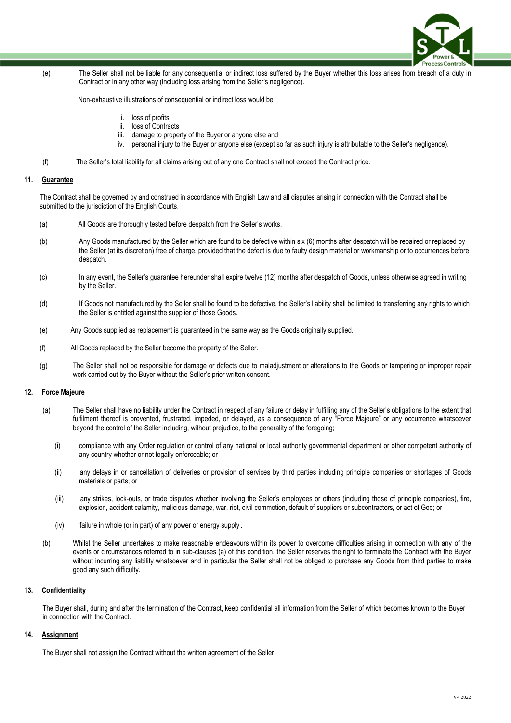

(e) The Seller shall not be liable for any consequential or indirect loss suffered by the Buyer whether this loss arises from breach of a duty in Contract or in any other way (including loss arising from the Seller's negligence).

Non-exhaustive illustrations of consequential or indirect loss would be

- i. loss of profits
- ii. loss of Contracts
- iii. damage to property of the Buyer or anyone else and
- iv. personal injury to the Buyer or anyone else (except so far as such injury is attributable to the Seller's negligence).
- (f) The Seller's total liability for all claims arising out of any one Contract shall not exceed the Contract price.

#### **11. Guarantee**

 The Contract shall be governed by and construed in accordance with English Law and all disputes arising in connection with the Contract shall be submitted to the jurisdiction of the English Courts.

- (a) All Goods are thoroughly tested before despatch from the Seller's works.
- (b) Any Goods manufactured by the Seller which are found to be defective within six (6) months after despatch will be repaired or replaced by the Seller (at its discretion) free of charge, provided that the defect is due to faulty design material or workmanship or to occurrences before despatch.
- (c) In any event, the Seller's guarantee hereunder shall expire twelve (12) months after despatch of Goods, unless otherwise agreed in writing by the Seller.
- (d) If Goods not manufactured by the Seller shall be found to be defective, the Seller's liability shall be limited to transferring any rights to which the Seller is entitled against the supplier of those Goods.
- (e) Any Goods supplied as replacement is guaranteed in the same way as the Goods originally supplied.
- (f) All Goods replaced by the Seller become the property of the Seller.
- (g) The Seller shall not be responsible for damage or defects due to maladjustment or alterations to the Goods or tampering or improper repair work carried out by the Buyer without the Seller's prior written consent.

## **12. Force Majeure**

- (a) The Seller shall have no liability under the Contract in respect of any failure or delay in fulfilling any of the Seller's obligations to the extent that fulfilment thereof is prevented, frustrated, impeded, or delayed, as a consequence of any "Force Majeure" or any occurrence whatsoever beyond the control of the Seller including, without prejudice, to the generality of the foregoing;
	- (i) compliance with any Order regulation or control of any national or local authority governmental department or other competent authority of any country whether or not legally enforceable; or
	- (ii) any delays in or cancellation of deliveries or provision of services by third parties including principle companies or shortages of Goods materials or parts; or
	- (iii) any strikes, lock-outs, or trade disputes whether involving the Seller's employees or others (including those of principle companies), fire, explosion, accident calamity, malicious damage, war, riot, civil commotion, default of suppliers or subcontractors, or act of God; or
	- (iv) failure in whole (or in part) of any power or energy supply .
- (b) Whilst the Seller undertakes to make reasonable endeavours within its power to overcome difficulties arising in connection with any of the events or circumstances referred to in sub-clauses (a) of this condition, the Seller reserves the right to terminate the Contract with the Buyer without incurring any liability whatsoever and in particular the Seller shall not be obliged to purchase any Goods from third parties to make good any such difficulty.

## **13. Confidentiality**

The Buyer shall, during and after the termination of the Contract, keep confidential all information from the Seller of which becomes known to the Buyer in connection with the Contract.

## **14. Assignment**

The Buyer shall not assign the Contract without the written agreement of the Seller.